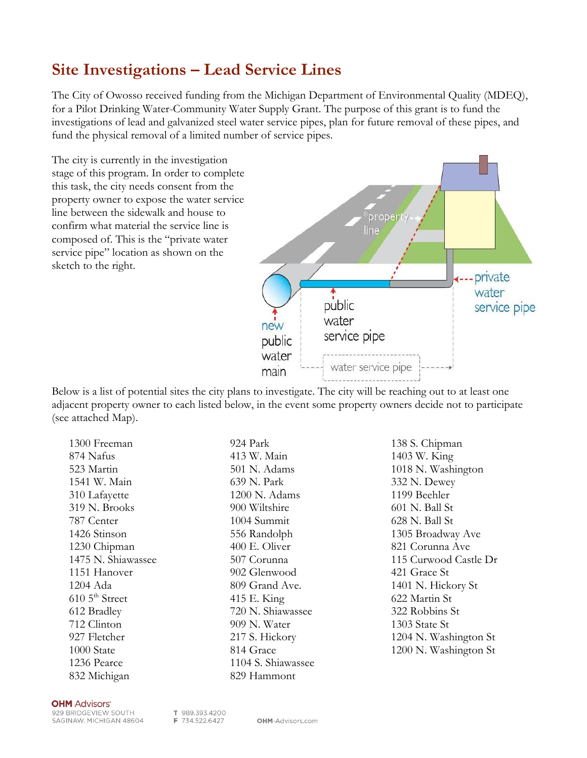## **Site Investigations – Lead Service Lines**

The City of Owosso received funding from the Michigan Department of Environmental Quality (MDEQ), for a Pilot Drinking Water-Community Water Supply Grant. The purpose of this grant is to fund the investigations of lead and galvanized steel water service pipes, plan for future removal of these pipes, and fund the physical removal of a limited number of service pipes.

The city is currently in the investigation stage of this program. In order to complete this task, the city needs consent from the property owner to expose the water service line between the sidewalk and house to confirm what material the service line is composed of. This is the "private water service pipe" location as shown on the sketch to the right.



Below is a list of potential sites the city plans to investigate. The city will be reaching out to at least one adjacent property owner to each listed below, in the event some property owners decide not to participate (see attached Map).

1300 Freeman 874 Nafus 523 Martin 1541 W. Main 310 Lafayette 319 N. Brooks 787 Center 1426 Stinson 1230 Chipman 1475 N. Shiawassee 1151 Hanover 1204 Ada  $610\,5$ <sup>th</sup> Street 612 Bradley 712 Clinton 927 Fletcher 1000 State 1236 Pearce 832 Michigan

413 W. Main 501 N. Adams 639 N. Park 1200 N. Adams 900 Wiltshire 1004 Summit 556 Randolph 400 E. Oliver 507 Corunna 902 Glenwood 809 Grand Ave. 415 E. King 720 N. Shiawassee 909 N. Water 217 S. Hickory 814 Grace 1104 S. Shiawassee 829 Hammont

924 Park

138 S. Chipman 1403 W. King 1018 N. Washington 332 N. Dewey 1199 Beehler 601 N. Ball St 628 N. Ball St 1305 Broadway Ave 821 Corunna Ave 115 Curwood Castle Dr 421 Grace St 1401 N. Hickory St 622 Martin St 322 Robbins St 1303 State St 1204 N. Washington St 1200 N. Washington St